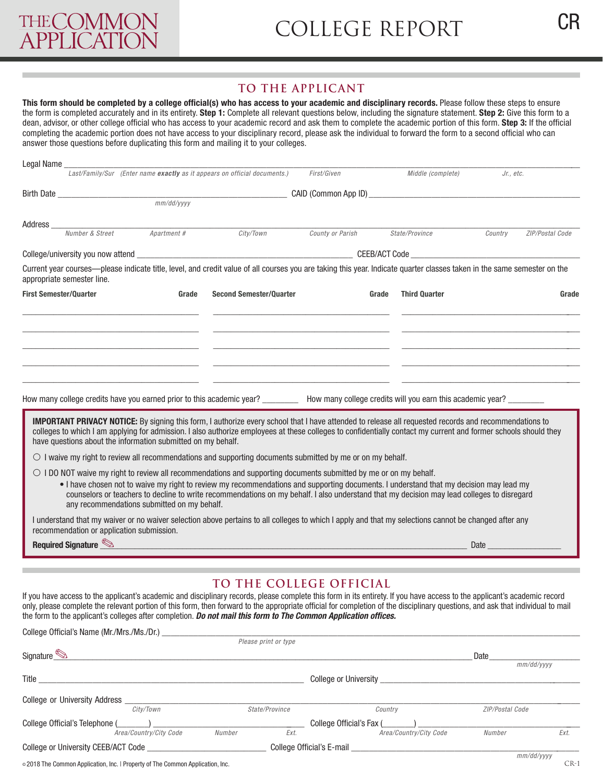## **TO THE APPLICANT**

This form should be completed by a college official(s) who has access to your academic and disciplinary records. Please follow these steps to ensure the form is completed accurately and in its entirety. **Step 1:** Complete all relevant questions below, including the signature statement. **Step 2:** Give this form to a dean, advisor, or other college official who has access to your academic record and ask them to complete the academic portion of this form. **Step 3:** If the official completing the academic portion does not have access to your disciplinary record, please ask the individual to forward the form to a second official who can answer those questions before duplicating this form and mailing it to your colleges.

|                                                                                                                                                                                                                                                                                                                                                                                                 |                                             |                                                                                                                                                                                                                                                                                      | First/Given      |  | Middle (complete)                                                                                                     |         | Jr., etc.       |  |  |
|-------------------------------------------------------------------------------------------------------------------------------------------------------------------------------------------------------------------------------------------------------------------------------------------------------------------------------------------------------------------------------------------------|---------------------------------------------|--------------------------------------------------------------------------------------------------------------------------------------------------------------------------------------------------------------------------------------------------------------------------------------|------------------|--|-----------------------------------------------------------------------------------------------------------------------|---------|-----------------|--|--|
|                                                                                                                                                                                                                                                                                                                                                                                                 |                                             |                                                                                                                                                                                                                                                                                      |                  |  |                                                                                                                       |         |                 |  |  |
|                                                                                                                                                                                                                                                                                                                                                                                                 |                                             |                                                                                                                                                                                                                                                                                      |                  |  |                                                                                                                       |         |                 |  |  |
| Address                                                                                                                                                                                                                                                                                                                                                                                         |                                             |                                                                                                                                                                                                                                                                                      |                  |  |                                                                                                                       |         |                 |  |  |
| Number & Street                                                                                                                                                                                                                                                                                                                                                                                 | Apartment #                                 | City/Town                                                                                                                                                                                                                                                                            | County or Parish |  | State/Province                                                                                                        | Country | ZIP/Postal Code |  |  |
|                                                                                                                                                                                                                                                                                                                                                                                                 |                                             |                                                                                                                                                                                                                                                                                      |                  |  | College/university you now attend the contract of the college of the college of the college/university you now attend |         |                 |  |  |
| Current year courses—please indicate title, level, and credit value of all courses you are taking this year. Indicate quarter classes taken in the same semester on the<br>appropriate semester line.                                                                                                                                                                                           |                                             |                                                                                                                                                                                                                                                                                      |                  |  |                                                                                                                       |         |                 |  |  |
| <b>First Semester/Quarter</b>                                                                                                                                                                                                                                                                                                                                                                   | Grade<br><b>Second Semester/Quarter</b>     |                                                                                                                                                                                                                                                                                      | Grade            |  | <b>Third Quarter</b>                                                                                                  | Grade   |                 |  |  |
|                                                                                                                                                                                                                                                                                                                                                                                                 |                                             |                                                                                                                                                                                                                                                                                      |                  |  |                                                                                                                       |         |                 |  |  |
|                                                                                                                                                                                                                                                                                                                                                                                                 |                                             |                                                                                                                                                                                                                                                                                      |                  |  |                                                                                                                       |         |                 |  |  |
|                                                                                                                                                                                                                                                                                                                                                                                                 |                                             |                                                                                                                                                                                                                                                                                      |                  |  |                                                                                                                       |         |                 |  |  |
|                                                                                                                                                                                                                                                                                                                                                                                                 |                                             |                                                                                                                                                                                                                                                                                      |                  |  |                                                                                                                       |         |                 |  |  |
| How many college credits have you earned prior to this academic year?<br>How many college credits have you earned prior to this academic year?<br>We have the How many college credits will you earn this academic year?                                                                                                                                                                        |                                             |                                                                                                                                                                                                                                                                                      |                  |  |                                                                                                                       |         |                 |  |  |
|                                                                                                                                                                                                                                                                                                                                                                                                 |                                             |                                                                                                                                                                                                                                                                                      |                  |  |                                                                                                                       |         |                 |  |  |
| <b>IMPORTANT PRIVACY NOTICE:</b> By signing this form, I authorize every school that I have attended to release all requested records and recommendations to<br>colleges to which I am applying for admission. I also authorize employees at these colleges to confidentially contact my current and former schools should they<br>have questions about the information submitted on my behalf. |                                             |                                                                                                                                                                                                                                                                                      |                  |  |                                                                                                                       |         |                 |  |  |
| $\circlearrowright$ I waive my right to review all recommendations and supporting documents submitted by me or on my behalf.                                                                                                                                                                                                                                                                    |                                             |                                                                                                                                                                                                                                                                                      |                  |  |                                                                                                                       |         |                 |  |  |
| $\circ$ 1 DO NOT waive my right to review all recommendations and supporting documents submitted by me or on my behalf.                                                                                                                                                                                                                                                                         | any recommendations submitted on my behalf. | . I have chosen not to waive my right to review my recommendations and supporting documents. I understand that my decision may lead my<br>counselors or teachers to decline to write recommendations on my behalf. I also understand that my decision may lead colleges to disregard |                  |  |                                                                                                                       |         |                 |  |  |
| I understand that my waiver or no waiver selection above pertains to all colleges to which I apply and that my selections cannot be changed after any<br>recommendation or application submission.                                                                                                                                                                                              |                                             |                                                                                                                                                                                                                                                                                      |                  |  |                                                                                                                       |         |                 |  |  |
| Required Signature                                                                                                                                                                                                                                                                                                                                                                              |                                             |                                                                                                                                                                                                                                                                                      |                  |  |                                                                                                                       | Date    |                 |  |  |

## **TO THE COLLEGE OFFICIAL**

If you have access to the applicant's academic and disciplinary records, please complete this form in its entirety. If you have access to the applicant's academic record only, please complete the relevant portion of this form, then forward to the appropriate official for completion of the disciplinary questions, and ask that individual to mail the form to the applicant's colleges after completion. *Do not mail this form to The Common Application offices.*

| College Official's Name (Mr./Mrs./Ms./Dr.)                                     |                        |                |                           |                              |                 |            |
|--------------------------------------------------------------------------------|------------------------|----------------|---------------------------|------------------------------|-----------------|------------|
|                                                                                |                        |                | Please print or type      |                              |                 |            |
| Signature $\otimes$                                                            |                        |                |                           |                              | Date            |            |
|                                                                                |                        |                |                           |                              |                 | mm/dd/yyyy |
| Title                                                                          |                        |                |                           | <b>College or University</b> |                 |            |
| College or University Address                                                  |                        |                |                           |                              |                 |            |
| City/Town                                                                      |                        | State/Province |                           | Country                      | ZIP/Postal Code |            |
| College Official's Telephone (                                                 |                        |                |                           | College Official's Fax (     |                 |            |
|                                                                                | Area/Country/City Code | Number         | Ext.                      | Area/Country/City Code       | Number          | Ext.       |
| College or University CEEB/ACT Code                                            |                        |                | College Official's E-mail |                              |                 |            |
|                                                                                |                        |                |                           |                              |                 | mm/dd/yyyy |
| © 2018 The Common Application, Inc.   Property of The Common Application, Inc. |                        |                |                           |                              |                 | $CR-1$     |